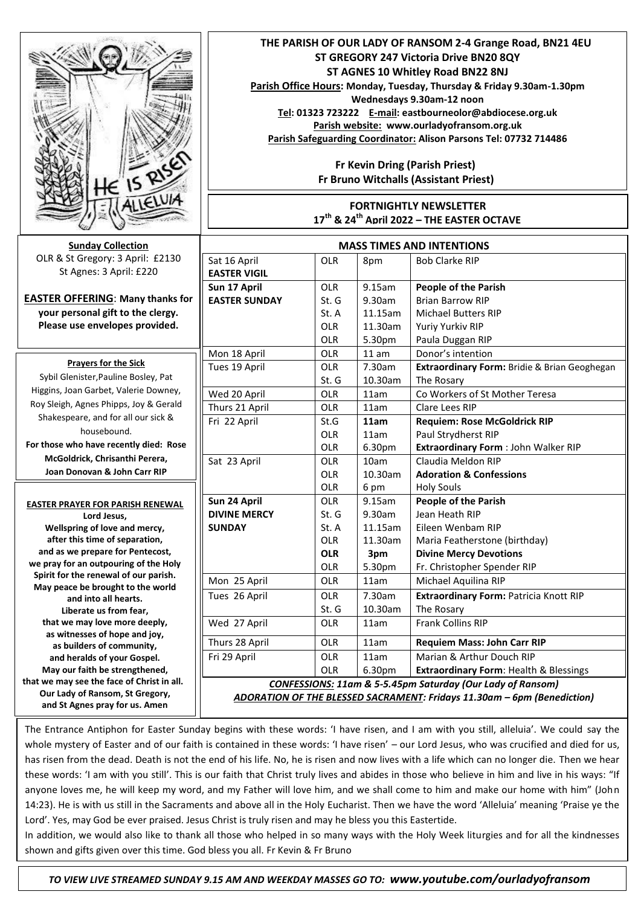| <b>IS RISE</b><br>HLELUIA                                         | THE PARISH OF OUR LADY OF RANSOM 2-4 Grange Road, BN21 4EU<br>ST GREGORY 247 Victoria Drive BN20 8QY<br>ST AGNES 10 Whitley Road BN22 8NJ<br>Parish Office Hours: Monday, Tuesday, Thursday & Friday 9.30am-1.30pm<br>Wednesdays 9.30am-12 noon<br>Tel: 01323 723222 E-mail: eastbourneolor@abdiocese.org.uk<br>Parish website: www.ourladyofransom.org.uk<br>Parish Safeguarding Coordinator: Alison Parsons Tel: 07732 714486<br>Fr Kevin Dring (Parish Priest)<br>Fr Bruno Witchalls (Assistant Priest)<br><b>FORTNIGHTLY NEWSLETTER</b><br>17 <sup>th</sup> & 24 <sup>th</sup> April 2022 - THE EASTER OCTAVE |            |         |                                                   |
|-------------------------------------------------------------------|-------------------------------------------------------------------------------------------------------------------------------------------------------------------------------------------------------------------------------------------------------------------------------------------------------------------------------------------------------------------------------------------------------------------------------------------------------------------------------------------------------------------------------------------------------------------------------------------------------------------|------------|---------|---------------------------------------------------|
|                                                                   | <b>MASS TIMES AND INTENTIONS</b>                                                                                                                                                                                                                                                                                                                                                                                                                                                                                                                                                                                  |            |         |                                                   |
| <b>Sunday Collection</b>                                          |                                                                                                                                                                                                                                                                                                                                                                                                                                                                                                                                                                                                                   |            |         |                                                   |
| OLR & St Gregory: 3 April: £2130                                  | Sat 16 April                                                                                                                                                                                                                                                                                                                                                                                                                                                                                                                                                                                                      | OLR        | 8pm     | <b>Bob Clarke RIP</b>                             |
| St Agnes: 3 April: £220                                           | <b>EASTER VIGIL</b>                                                                                                                                                                                                                                                                                                                                                                                                                                                                                                                                                                                               |            |         |                                                   |
|                                                                   | Sun 17 April                                                                                                                                                                                                                                                                                                                                                                                                                                                                                                                                                                                                      | <b>OLR</b> | 9.15am  | <b>People of the Parish</b>                       |
| <b>EASTER OFFERING: Many thanks for</b>                           | <b>EASTER SUNDAY</b>                                                                                                                                                                                                                                                                                                                                                                                                                                                                                                                                                                                              | St. G      | 9.30am  | <b>Brian Barrow RIP</b>                           |
| your personal gift to the clergy.                                 |                                                                                                                                                                                                                                                                                                                                                                                                                                                                                                                                                                                                                   | St. A      | 11.15am | <b>Michael Butters RIP</b>                        |
| Please use envelopes provided.                                    |                                                                                                                                                                                                                                                                                                                                                                                                                                                                                                                                                                                                                   | OLR        | 11.30am | Yuriy Yurkiv RIP                                  |
|                                                                   |                                                                                                                                                                                                                                                                                                                                                                                                                                                                                                                                                                                                                   | OLR        | 5.30pm  | Paula Duggan RIP                                  |
|                                                                   | Mon 18 April                                                                                                                                                                                                                                                                                                                                                                                                                                                                                                                                                                                                      | <b>OLR</b> | 11 am   | Donor's intention                                 |
| <b>Prayers for the Sick</b>                                       | Tues 19 April                                                                                                                                                                                                                                                                                                                                                                                                                                                                                                                                                                                                     | OLR        | 7.30am  | Extraordinary Form: Bridie & Brian Geoghegan      |
| Sybil Glenister, Pauline Bosley, Pat                              |                                                                                                                                                                                                                                                                                                                                                                                                                                                                                                                                                                                                                   | St. G      | 10.30am | The Rosary                                        |
| Higgins, Joan Garbet, Valerie Downey,                             | Wed 20 April                                                                                                                                                                                                                                                                                                                                                                                                                                                                                                                                                                                                      | <b>OLR</b> | 11am    | Co Workers of St Mother Teresa                    |
| Roy Sleigh, Agnes Phipps, Joy & Gerald                            | Thurs 21 April                                                                                                                                                                                                                                                                                                                                                                                                                                                                                                                                                                                                    | <b>OLR</b> | 11am    | Clare Lees RIP                                    |
| Shakespeare, and for all our sick &                               | Fri 22 April                                                                                                                                                                                                                                                                                                                                                                                                                                                                                                                                                                                                      | St.G       | 11am    | <b>Requiem: Rose McGoldrick RIP</b>               |
| housebound.                                                       |                                                                                                                                                                                                                                                                                                                                                                                                                                                                                                                                                                                                                   | <b>OLR</b> | 11am    | Paul Strydherst RIP                               |
| For those who have recently died: Rose                            |                                                                                                                                                                                                                                                                                                                                                                                                                                                                                                                                                                                                                   | OLR        | 6.30pm  | Extraordinary Form : John Walker RIP              |
| McGoldrick, Chrisanthi Perera,                                    | Sat 23 April                                                                                                                                                                                                                                                                                                                                                                                                                                                                                                                                                                                                      | <b>OLR</b> | 10am    | Claudia Meldon RIP                                |
| Joan Donovan & John Carr RIP                                      |                                                                                                                                                                                                                                                                                                                                                                                                                                                                                                                                                                                                                   | OLR        | 10.30am | <b>Adoration &amp; Confessions</b>                |
|                                                                   |                                                                                                                                                                                                                                                                                                                                                                                                                                                                                                                                                                                                                   | OLR        | 6 pm    | <b>Holy Souls</b>                                 |
| <b>EASTER PRAYER FOR PARISH RENEWAL</b>                           | Sun 24 April                                                                                                                                                                                                                                                                                                                                                                                                                                                                                                                                                                                                      | <b>OLR</b> | 9.15am  | <b>People of the Parish</b>                       |
| Lord Jesus,                                                       | <b>DIVINE MERCY</b>                                                                                                                                                                                                                                                                                                                                                                                                                                                                                                                                                                                               | St. G      | 9.30am  | Jean Heath RIP                                    |
| Wellspring of love and mercy,                                     | <b>SUNDAY</b>                                                                                                                                                                                                                                                                                                                                                                                                                                                                                                                                                                                                     | St. A      | 11.15am | Eileen Wenbam RIP                                 |
| after this time of separation,                                    |                                                                                                                                                                                                                                                                                                                                                                                                                                                                                                                                                                                                                   | OLR        | 11.30am | Maria Featherstone (birthday)                     |
| and as we prepare for Pentecost,                                  |                                                                                                                                                                                                                                                                                                                                                                                                                                                                                                                                                                                                                   | <b>OLR</b> | 3pm     | <b>Divine Mercy Devotions</b>                     |
| we pray for an outpouring of the Holy                             |                                                                                                                                                                                                                                                                                                                                                                                                                                                                                                                                                                                                                   | OLR        | 5.30pm  | Fr. Christopher Spender RIP                       |
| Spirit for the renewal of our parish.                             | Mon 25 April                                                                                                                                                                                                                                                                                                                                                                                                                                                                                                                                                                                                      | OLR        | 11am    | Michael Aquilina RIP                              |
| May peace be brought to the world                                 | Tues 26 April                                                                                                                                                                                                                                                                                                                                                                                                                                                                                                                                                                                                     | <b>OLR</b> | 7.30am  | Extraordinary Form: Patricia Knott RIP            |
| and into all hearts.<br>Liberate us from fear.                    |                                                                                                                                                                                                                                                                                                                                                                                                                                                                                                                                                                                                                   | St. G      | 10.30am | The Rosary                                        |
| that we may love more deeply,                                     | Wed 27 April                                                                                                                                                                                                                                                                                                                                                                                                                                                                                                                                                                                                      | <b>OLR</b> | 11am    | Frank Collins RIP                                 |
| as witnesses of hope and joy,                                     |                                                                                                                                                                                                                                                                                                                                                                                                                                                                                                                                                                                                                   |            |         |                                                   |
| as builders of community,                                         | Thurs 28 April                                                                                                                                                                                                                                                                                                                                                                                                                                                                                                                                                                                                    | <b>OLR</b> | 11am    | <b>Requiem Mass: John Carr RIP</b>                |
| and heralds of your Gospel.                                       | Fri 29 April                                                                                                                                                                                                                                                                                                                                                                                                                                                                                                                                                                                                      | <b>OLR</b> | 11am    | Marian & Arthur Douch RIP                         |
| May our faith be strengthened,                                    |                                                                                                                                                                                                                                                                                                                                                                                                                                                                                                                                                                                                                   | OLR        | 6.30pm  | <b>Extraordinary Form: Health &amp; Blessings</b> |
| that we may see the face of Christ in all.                        | CONFESSIONS: 11am & 5-5.45pm Saturday (Our Lady of Ransom)                                                                                                                                                                                                                                                                                                                                                                                                                                                                                                                                                        |            |         |                                                   |
| Our Lady of Ransom, St Gregory,<br>and St Agnes pray for us. Amen | ADORATION OF THE BLESSED SACRAMENT: Fridays 11.30am - 6pm (Benediction)                                                                                                                                                                                                                                                                                                                                                                                                                                                                                                                                           |            |         |                                                   |

The Entrance Antiphon for Easter Sunday begins with these words: 'I have risen, and I am with you still, alleluia'. We could say the whole mystery of Easter and of our faith is contained in these words: 'I have risen' – our Lord Jesus, who was crucified and died for us, has risen from the dead. Death is not the end of his life. No, he is risen and now lives with a life which can no longer die. Then we hear these words: 'I am with you still'. This is our faith that Christ truly lives and abides in those who believe in him and live in his ways: "If anyone loves me, he will keep my word, and my Father will love him, and we shall come to him and make our home with him" (John 14:23). He is with us still in the Sacraments and above all in the Holy Eucharist. Then we have the word 'Alleluia' meaning 'Praise ye the Lord'. Yes, may God be ever praised. Jesus Christ is truly risen and may he bless you this Eastertide.

In addition, we would also like to thank all those who helped in so many ways with the Holy Week liturgies and for all the kindnesses shown and gifts given over this time. God bless you all. Fr Kevin & Fr Bruno

 *TO VIEW LIVE STREAMED SUNDAY 9.15 AM AND WEEKDAY MASSES GO TO: www.youtube.com/ourladyofransom*